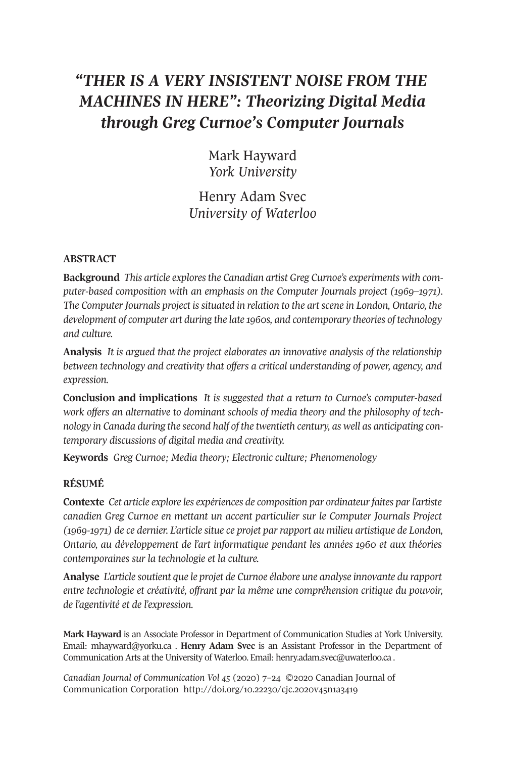# *"THER IS A VERY INSISTENT NOISE FROM THE MACHINES IN HERE": Theorizing Digital Media through Greg Curnoe's Computer Journals*

Mark Hayward *York University*

Henry Adam Svec *University of Waterloo*

# **ABSTRACT**

**Background** *This article exploresthe Canadian artist Greg Curnoe's experiments with computer-based composition with an emphasis on the Computer Journals project (1969–1971). The Computer Journals project is situated in relation to the art scene in London, Ontario, the development of computer art during the late 1960s, and contemporary theories of technology and culture.*

**Analysis** *It is argued that the project elaborates an innovative analysis of the relationship between technology and creativity that offers a critical understanding of power, agency, and expression.*

**Conclusion and implications** *It is suggested that a return to Curnoe's computer-based work offers an alternative to dominant schools of media theory and the philosophy of technology in Canada during the second half of the twentieth century, as well as anticipating contemporary discussions of digital media and creativity.*

**Keywords** *Greg Curnoe; Media theory; Electronic culture; Phenomenology*

# **RÉSUMÉ**

**Contexte** *Cet article explore les expériences de composition par ordinateurfaites parl'artiste canadien Greg Curnoe en mettant un accent particulier sur le Computer Journals Project (1969-1971) de ce dernier. L'article situe ce projet par rapport au milieu artistique de London, Ontario, au développement de l'art informatique pendant les années 1960 et aux théories contemporaines sur la technologie et la culture.*

**Analyse** *L'article soutient que le projet de Curnoe élabore une analyse innovante du rapport entre technologie et créativité, offrant par la même une compréhension critique du pouvoir, de l'agentivité et de l'expression.*

**Mark Hayward** is an Associate Professor in Department of Communication Studies at York University. Email: [mhayward@yorku.ca](mailto:mhayward@yorku.ca) . **Henry Adam Svec** is an Assistant Professor in the Department of Communication Arts at the University of Waterloo. Email: [henry.adam.svec@uwaterloo.ca](mailto:henry.adam.svec@uwaterloo.ca) .

*Canadian Journal of [Communication](http://www.cjc-online.ca) Vol 45* (2020) 7–24 ©2020 Canadian Journal of Communication Corporation <http://doi.org/10.22230/cjc.2020v45n1a3419>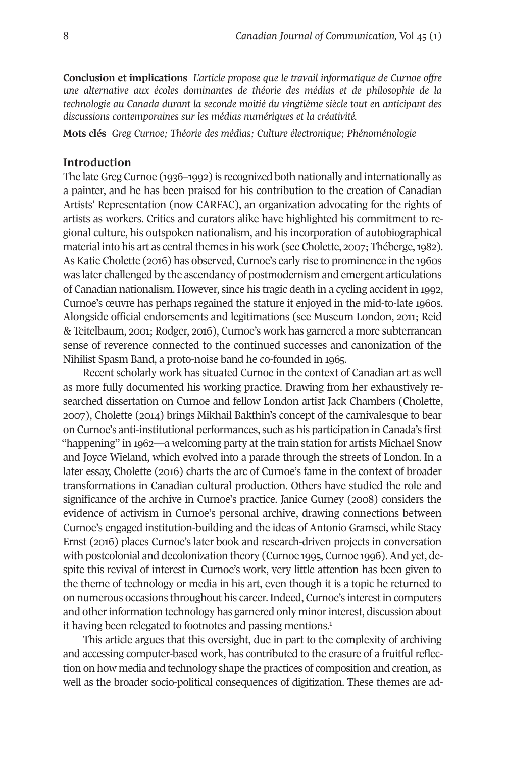**Conclusion et implications** *L'article propose que le travail informatique de Curnoe offre une alternative aux écoles dominantes de théorie des médias et de philosophie de la technologie au Canada durant la seconde moitié du vingtième siècle tout en anticipant des discussions contemporaines sur les médias numériques et la créativité.*

**Mots clés** *Greg Curnoe; Théorie des médias; Culture électronique; Phénoménologie*

### **Introduction**

The lateGreg Curnoe (1936–1992) is recognized both nationally and internationally as a painter, and he has been praised for his contribution to the creation of Canadian Artists' Representation (now CARFAC), an organization advocating for the rights of artists as workers. Critics and curators alike have highlighted his commitment to regional culture, his outspoken nationalism, and his incorporation of autobiographical material into his art as central themes in his work (see Cholette, 2007; Théberge, 1982). As Katie Cholette (2016) has observed, Curnoe's early rise to prominence in the 1960s was later challenged by the ascendancy of postmodernism and emergent articulations of Canadian nationalism. However, since his tragic death in a cycling accident in 1992, Curnoe's œuvre has perhaps regained the stature it enjoyed in the mid-to-late 1960s. Alongside official endorsements and legitimations (see Museum London, 2011; Reid & Teitelbaum, 2001; Rodger, 2016), Curnoe's work has garnered a more subterranean sense of reverence connected to the continued successes and canonization of the Nihilist Spasm Band, a proto-noise band he co-founded in 1965.

Recent scholarly work has situated Curnoe in the context of Canadian art as well as more fully documented his working practice. Drawing from her exhaustively researched dissertation on Curnoe and fellow London artist Jack Chambers (Cholette, 2007), Cholette (2014) brings Mikhail Bakthin's concept of the carnivalesque to bear on Curnoe's anti-institutional performances, such as his participation in Canada's first "happening" in 1962—a welcoming party at the train station for artists Michael Snow and Joyce Wieland, which evolved into a parade through the streets of London. In a later essay, Cholette (2016) charts the arc of Curnoe's fame in the context of broader transformations in Canadian cultural production. Others have studied the role and significance of the archive in Curnoe's practice. Janice Gurney (2008) considers the evidence of activism in Curnoe's personal archive, drawing connections between Curnoe's engaged institution-building and the ideas of Antonio Gramsci, while Stacy Ernst (2016) places Curnoe's later book and research-driven projects in conversation with postcolonial and decolonization theory (Curnoe 1995, Curnoe 1996). And yet, despite this revival of interest in Curnoe's work, very little attention has been given to the theme of technology or media in his art, even though it is a topic he returned to on numerous occasions throughout his career.Indeed, Curnoe's interestin computers and other [in](#page-15-0)formation technology has garnered only minor interest, discussion about it having been relegated to footnotes and passing mentions.<sup>1</sup>

This article argues that this oversight, due in part to the complexity of archiving and accessing computer-based work, has contributed to the erasure of a fruitful reflection on how media and technology shape the practices of composition and creation, as well as the broader socio-political consequences of digitization. These themes are ad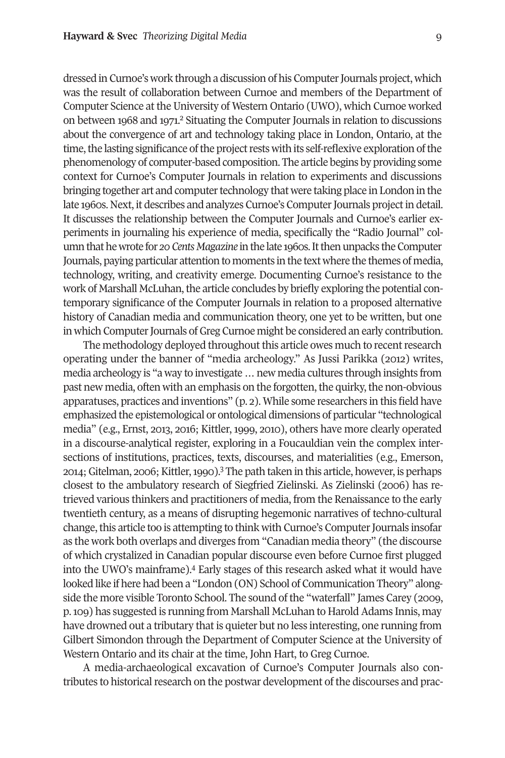dressed in Curnoe's work through a discussion of his Computer Journals project, which was the result of collaboration between Curnoe and members of the Department of Computer Science at the University of Western Ontario (UWO), which Curnoe worked on between 1968 and 1971. [2](#page-15-1) Situating the Computer Journals in relation to discussions about the convergence of art and technology taking place in London, Ontario, at the time, the lasting significance of the project rests with its self-reflexive exploration of the phenomenology of computer-based composition. The article begins by providing some context for Curnoe's Computer Journals in relation to experiments and discussions bringing together art and computer technology that were taking place in London in the late 1960s. Next, it describes and analyzes Curnoe's Computer Journals project in detail. It discusses the relationship between the Computer Journals and Curnoe's earlier experiments in journaling his experience of media, specifically the "Radio Journal" columnthathewrote for *20CentsMagazine* inthe late 1960s.Itthenunpacks theComputer Journals, paying particular attention to moments in the text where the themes of media, technology, writing, and creativity emerge. Documenting Curnoe's resistance to the work of Marshall McLuhan, the article concludes by briefly exploring the potential contemporary significance of the Computer Journals in relation to a proposed alternative history of Canadian media and communication theory, one yet to be written, but one in which Computer Journals of Greg Curnoe might be considered an early contribution.

The methodology deployed throughout this article owes much to recent research operating under the banner of "media archeology." As Jussi Parikka (2012) writes, media archeology is "a way to investigate…new media cultures through insights from past new media, often with an emphasis on the forgotten, the quirky, the non-obvious apparatuses, practices and inventions" (p. 2). While some researchers in this field have emphasized the epistemological or ontological dimensions of particular "technological media" (e.g., Ernst, 2013, 2016; Kittler, 1999, 2010), others have more clearly operated in a discourse-analytical register, exploring in a Foucauldian vein the complex intersections of institutions, practices, [te](#page-15-2)xts, discourses, and materialities (e.g., Emerson, 2014; Gitelman, 2006; Kittler, 1990).<sup>3</sup> The path taken in this article, however, is perhaps closest to the ambulatory research of Siegfried Zielinski. As Zielinski (2006) has retrieved various thinkers and practitioners of media, from the Renaissance to the early twentieth century, as a means of disrupting hegemonic narratives of techno-cultural change, this article too is attempting to think with Curnoe's Computer Journals insofar as the work both overlaps and diverges from "Canadian media theory" (the discourse of which crystalized in Canadian popular discourse even before Curnoe first plugged into the UWO's mainframe). [4](#page-15-3) Early stages of this research asked what it would have looked like if here had been a "London (ON) School of Communication Theory" alongside the more visible Toronto School. The sound ofthe "waterfall" James Carey (2009, p. 109) has suggested is running from Marshall McLuhan to Harold Adams Innis, may have drowned out a tributary that is quieter but no less interesting, one running from Gilbert Simondon through the Department of Computer Science at the University of Western Ontario and its chair at the time, John Hart, to Greg Curnoe.

A media-archaeological excavation of Curnoe's Computer Journals also contributes to historical research on the postwar development of the discourses and prac-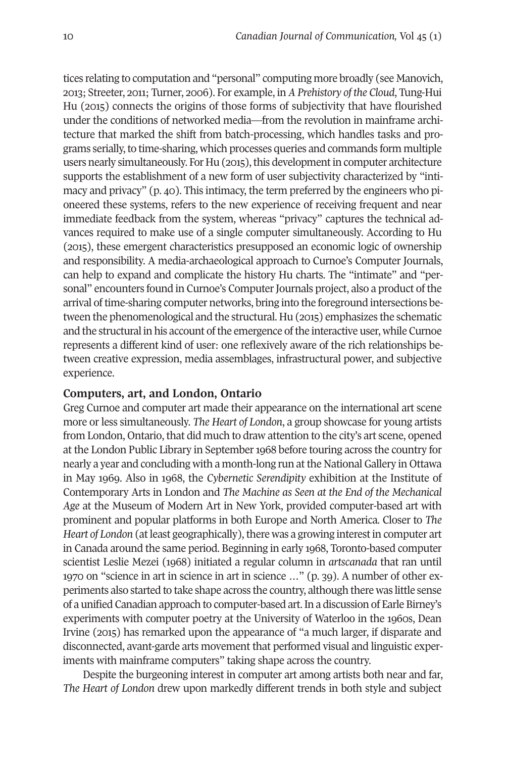tices relating to computation and "personal" computing more broadly (see Manovich, 2013; Streeter, 2011; Turner, 2006). For example, in *A Prehistory of the Cloud*, Tung-Hui Hu (2015) connects the origins of those forms of subjectivity that have flourished under the conditions of networked media—from the revolution in mainframe architecture that marked the shift from batch-processing, which handles tasks and programs serially,to time-sharing, which processes queries and commands form multiple users nearly simultaneously. For Hu (2015), this development in computer architecture supports the establishment of a new form of user subjectivity characterized by "intimacy and privacy" (p. 40). This intimacy, the term preferred by the engineers who pioneered these systems, refers to the new experience of receiving frequent and near immediate feedback from the system, whereas "privacy" captures the technical advances required to make use of a single computer simultaneously. According to Hu (2015), these emergent characteristics presupposed an economic logic of ownership and responsibility. A media-archaeological approach to Curnoe's Computer Journals, can help to expand and complicate the history Hu charts. The "intimate" and "personal" encounters found in Curnoe's Computer Journals project, also a product of the arrival oftime-sharing computer networks, bring into the foreground intersections between the phenomenological and the structural. Hu (2015) emphasizes the schematic and the structural in his account of the emergence of the interactive user, while Curnoe represents a different kind of user: one reflexively aware of the rich relationships between creative expression, media assemblages, infrastructural power, and subjective experience.

# **Computers, art, and London, Ontario**

Greg Curnoe and computer art made their appearance on the international art scene more or less simultaneously. *The Heart of London*, a group showcase for young artists from London, Ontario, that did much to draw attention to the city's art scene, opened at the London Public Library in September 1968 before touring across the country for nearly a year and concluding with a month-long run at the National Gallery in Ottawa in May 1969. Also in 1968, the *Cybernetic Serendipity* exhibition at the Institute of Contemporary Arts in London and *The Machine as Seen at the End of the Mechanical Age* at the Museum of Modern Art in New York, provided computer-based art with prominent and popular platforms in both Europe and North America. Closer to *The Heart of London* (at least geographically), there was a growing interest in computer art in Canada around the same period. Beginning in early 1968, Toronto-based computer scientist Leslie Mezei (1968) initiated a regular column in *artscanada* that ran until 1970 on "science in art in science in art in science …" (p. 39). A number of other experiments also started to take shape across the country, although there was little sense of a unified Canadian approach to computer-based art.In a discussion of Earle Birney's experiments with computer poetry at the University of Waterloo in the 1960s, Dean Irvine (2015) has remarked upon the appearance of "a much larger, if disparate and disconnected, avant-garde arts movement that performed visual and linguistic experiments with mainframe computers" taking shape across the country.

Despite the burgeoning interest in computer art among artists both near and far, *The Heart of London* drew upon markedly different trends in both style and subject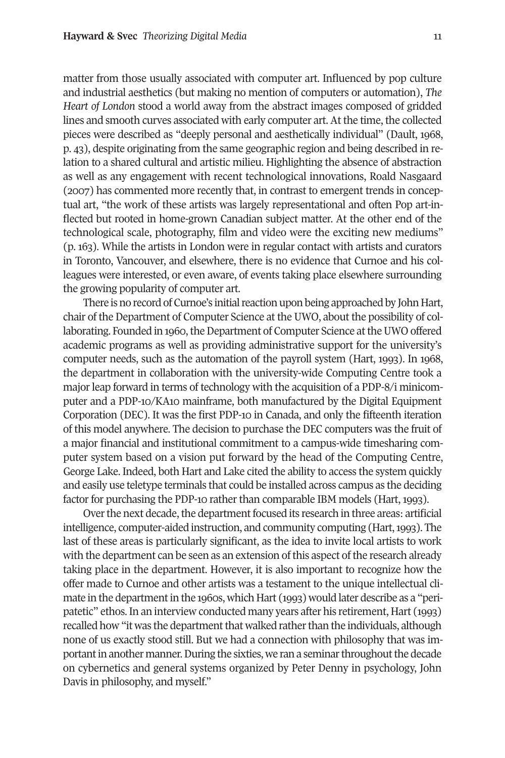matter from those usually associated with computer art. Influenced by pop culture and industrial aesthetics (but making no mention of computers or automation), *The Heart of London* stood a world away from the abstract images composed of gridded lines and smooth curves associated with early computer art. At the time, the collected pieces were described as "deeply personal and aesthetically individual" (Dault, 1968, p. 43), despite originating from the same geographic region and being described in relation to a shared cultural and artistic milieu. Highlighting the absence of abstraction as well as any engagement with recent technological innovations, Roald Nasgaard (2007) has commented more recently that, in contrast to emergent trends in conceptual art, "the work of these artists was largely representational and often Pop art-inflected but rooted in home-grown Canadian subject matter. At the other end of the technological scale, photography, film and video were the exciting new mediums" (p. 163). While the artists in London were in regular contact with artists and curators in Toronto, Vancouver, and elsewhere, there is no evidence that Curnoe and his colleagues were interested, or even aware, of events taking place elsewhere surrounding the growing popularity of computer art.

There is no record of Curnoe's initial reaction upon being approached by John Hart, chair of the Department of Computer Science at the UWO, about the possibility of collaborating. Founded in 1960, the Department of Computer Science at the UWO offered academic programs as well as providing administrative support for the university's computer needs, such as the automation of the payroll system (Hart, 1993). In 1968, the department in collaboration with the university-wide Computing Centre took a major leap forward in terms of technology with the acquisition of a PDP-8/i minicomputer and a PDP-10/KA10 mainframe, both manufactured by the Digital Equipment Corporation (DEC). It was the first PDP-10 in Canada, and only the fifteenth iteration of this model anywhere. The decision to purchase the DEC computers was the fruit of a major financial and institutional commitment to a campus-wide timesharing computer system based on a vision put forward by the head of the Computing Centre, George Lake. Indeed, both Hart and Lake cited the ability to access the system quickly and easily use teletype terminals that could be installed across campus as the deciding factor for purchasing the PDP-10 rather than comparable IBM models (Hart, 1993).

Over the next decade, the department focused its research in three areas: artificial intelligence, computer-aided instruction, and community computing (Hart,1993). The last of these areas is particularly significant, as the idea to invite local artists to work with the department can be seen as an extension of this aspect of the research already taking place in the department. However, it is also important to recognize how the offer made to Curnoe and other artists was a testament to the unique intellectual climate in the department in the 1960s, which Hart (1993) would later describe as a "peripatetic" ethos. In an interview conducted many years after his retirement, Hart (1993) recalled how "it was the department that walked rather than the individuals, although none of us exactly stood still. But we had a connection with philosophy that was important in another manner. During the sixties, we ran a seminar throughout the decade on cybernetics and general systems organized by Peter Denny in psychology, John Davis in philosophy, and myself."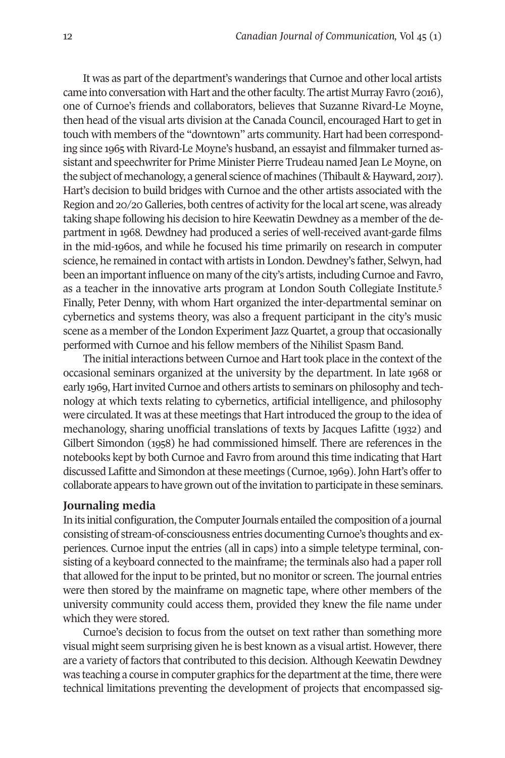It was as part of the department's wanderings that Curnoe and other local artists came into conversation with Hart and the other faculty. The artist Murray Favro (2016), one of Curnoe's friends and collaborators, believes that Suzanne Rivard-Le Moyne, then head of the visual arts division at the Canada Council, encouraged Hart to get in touch with members of the "downtown" arts community. Hart had been corresponding since 1965 with Rivard-Le Moyne's husband, an essayist and filmmaker turned assistant and speechwriter for Prime Minister Pierre Trudeau named Jean Le Moyne, on the subject of mechanology, a general science of machines (Thibault & Hayward, 2017). Hart's decision to build bridges with Curnoe and the other artists associated with the Region and 20/20 Galleries, both centres of activity forthe local art scene, was already taking shape following his decision to hire Keewatin Dewdney as a member of the department in 1968. Dewdney had produced a series of well-received avant-garde films in the mid-1960s, and while he focused his time primarily on research in computer science, he remained in contact with artists in London. Dewdney's father, Selwyn, had been an important influence on many of the city's artists, including Curnoe and Favr[o,](#page-15-4) as a teacher in the innovative arts program at London South Collegiate Institute. 5 Finally, Peter Denny, with whom Hart organized the inter-departmental seminar on cybernetics and systems theory, was also a frequent participant in the city's music scene as a member of the London Experiment Jazz Quartet, a group that occasionally performed with Curnoe and his fellow members of the Nihilist Spasm Band.

The initial interactions between Curnoe and Hart took place in the context of the occasional seminars organized at the university by the department. In late 1968 or early 1969, Hartinvited Curnoe and others artists to seminars on philosophy and technology at which texts relating to cybernetics, artificial intelligence, and philosophy were circulated. It was at these meetings that Hart introduced the group to the idea of mechanology, sharing unofficial translations of texts by Jacques Lafitte (1932) and Gilbert Simondon (1958) he had commissioned himself. There are references in the notebooks kept by both Curnoe and Favro from around this time indicating that Hart discussed Lafitte and Simondon atthese meetings (Curnoe,1969).John Hart's offerto collaborate appears to have grown out of the invitation to participate in these seminars.

# **Journaling media**

In its initial configuration, the Computer Journals entailed the composition of a journal consisting of stream-of-consciousness entries documenting Curnoe's thoughts and experiences. Curnoe input the entries (all in caps) into a simple teletype terminal, consisting of a keyboard connected to the mainframe; the terminals also had a paper roll that allowed forthe input to be printed, but no monitor or screen. The journal entries were then stored by the mainframe on magnetic tape, where other members of the university community could access them, provided they knew the file name under which they were stored.

Curnoe's decision to focus from the outset on text rather than something more visual might seem surprising given he is best known as a visual artist. However, there are a variety of factors that contributed to this decision. Although Keewatin Dewdney was teaching a course in computer graphics for the department at the time, there were technical limitations preventing the development of projects that encompassed sig-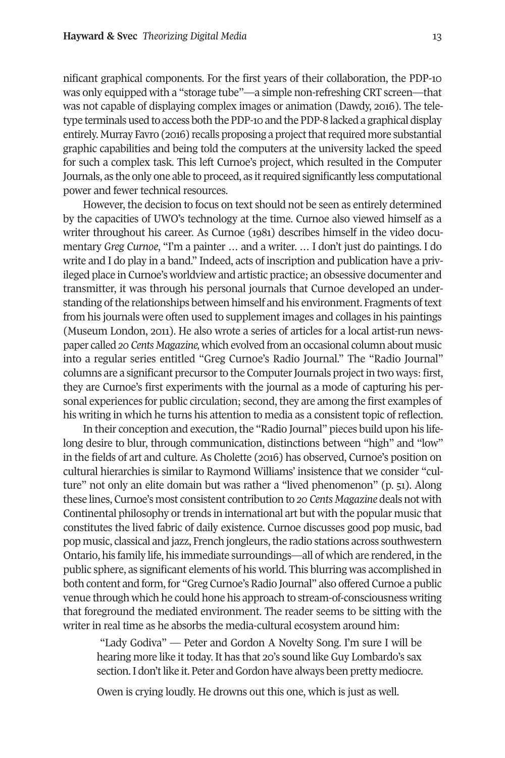nificant graphical components. For the first years of their collaboration, the PDP-10 was only equipped with a "storage tube"—a simple non-refreshing CRT screen—that was not capable of displaying complex images or animation (Dawdy, 2016). The teletype terminals used to access both the PDP-10 and the PDP-8 lacked a graphical display entirely. Murray Favro (2016) recalls proposing a project that required more substantial graphic capabilities and being told the computers at the university lacked the speed for such a complex task. This left Curnoe's project, which resulted in the Computer Journals, as the only one able to proceed, as itrequired significantly less computational power and fewer technical resources.

However, the decision to focus on text should not be seen as entirely determined by the capacities of UWO's technology at the time. Curnoe also viewed himself as a writer throughout his career. As Curnoe (1981) describes himself in the video documentary *Greg Curnoe*, "I'm a painter … and a writer. … I don't just do paintings. I do write and I do play in a band." Indeed, acts of inscription and publication have a privileged place in Curnoe's worldview and artistic practice; an obsessive documenter and transmitter, it was through his personal journals that Curnoe developed an understanding of the relationships between himself and his environment. Fragments of text from his journals were often used to supplement images and collages in his paintings (Museum London, 2011). He also wrote a series of articles for a local artist-run newspaper called *20 Cents Magazine,* which evolved from an occasional column about music into a regular series entitled "Greg Curnoe's Radio Journal." The "Radio Journal" columns are a significant precursor to the Computer Journals project in two ways: first, they are Curnoe's first experiments with the journal as a mode of capturing his personal experiences for public circulation; second, they are among the first examples of his writing in which he turns his attention to media as a consistent topic of reflection.

In their conception and execution, the "Radio Journal" pieces build upon his lifelong desire to blur, through communication, distinctions between "high" and "low" in the fields of art and culture. As Cholette (2016) has observed, Curnoe's position on cultural hierarchies is similar to Raymond Williams' insistence that we consider "culture" not only an elite domain but was rather a "lived phenomenon" (p. 51). Along these lines, Curnoe's most consistent contribution to *20 Cents Magazine* deals not with Continental philosophy or trends in international art but with the popular music that constitutes the lived fabric of daily existence. Curnoe discusses good pop music, bad pop music, classical and jazz, French jongleurs, the radio stations across southwestern Ontario, his family life, his immediate surroundings—all of which are rendered, in the public sphere, as significant elements of his world. This blurring was accomplished in both content and form, for "Greg Curnoe's Radio Journal" also offered Curnoe a public venue through which he could hone his approach to stream-of-consciousness writing that foreground the mediated environment. The reader seems to be sitting with the writer in real time as he absorbs the media-cultural ecosystem around him:

"Lady Godiva" — Peter and Gordon A Novelty Song. I'm sure I will be hearing more like it today. It has that 20's sound like Guy Lombardo's sax section. I don't like it. Peter and Gordon have always been pretty mediocre.

Owen is crying loudly. He drowns out this one, which is just as well.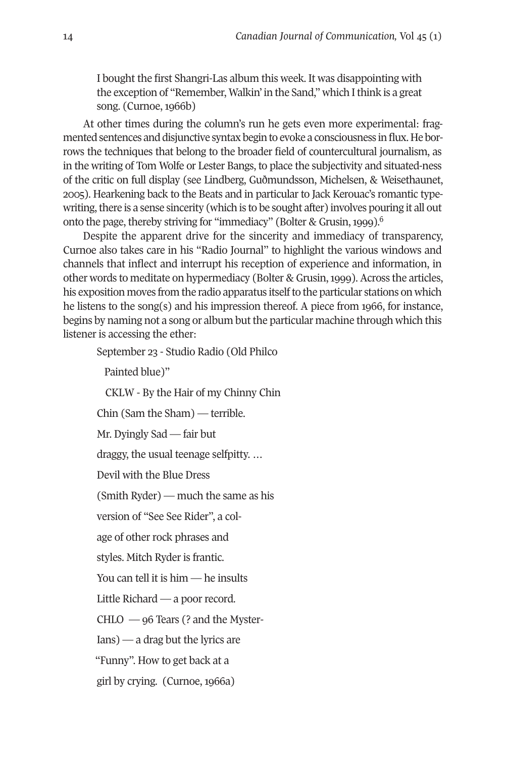I bought the first Shangri-Las album this week. It was disappointing with the exception of "Remember, Walkin' in the Sand," which I think is a great song. (Curnoe, 1966b)

At other times during the column's run he gets even more experimental: fragmented sentences and disjunctive syntax begin to evoke a consciousness in flux. He borrows the techniques that belong to the broader field of countercultural journalism, as in the writing of Tom Wolfe or Lester Bangs, to place the subjectivity and situated-ness of the critic on full display (see Lindberg, Guðmundsson, Michelsen, & Weisethaunet, 2005). Hearkening back to the Beats and in particular to Jack Kerouac's romantic typewriting, there is a sense sincerity (which is to be sought after) involves pouring it all out onto the page, thereby striving for "immediacy" (Bolter & Grusin,1999). [6](#page-15-5)

Despite the apparent drive for the sincerity and immediacy of transparency, Curnoe also takes care in his "Radio Journal" to highlight the various windows and channels that inflect and interrupt his reception of experience and information, in other words to meditate on hypermediacy (Bolter & Grusin,1999). Across the articles, his exposition moves from the radio apparatus itselfto the particular stations on which he listens to the song(s) and his impression thereof. A piece from 1966, for instance, begins by naming not a song or album butthe particular machine through which this listener is accessing the ether:

September 23 - Studio Radio (Old Philco Painted blue)" CKLW - By the Hair of my Chinny Chin Chin (Sam the Sham) — terrible. Mr. Dyingly Sad — fair but draggy, the usual teenage selfpitty. … Devil with the Blue Dress (Smith Ryder) — much the same as his version of "See See Rider", a colage of other rock phrases and styles. Mitch Ryder is frantic. You can tell it is him — he insults Little Richard — a poor record. CHLO — 96 Tears (? and the Myster-Ians) — a drag but the lyrics are "Funny". How to get back at a girl by crying. (Curnoe, 1966a)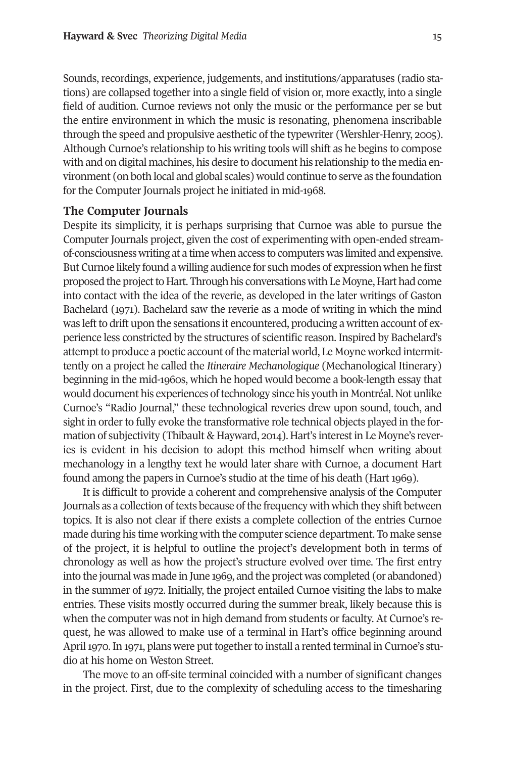Sounds, recordings, experience, judgements, and institutions/apparatuses (radio stations) are collapsed together into a single field of vision or, more exactly, into a single field of audition. Curnoe reviews not only the music or the performance per se but the entire environment in which the music is resonating, phenomena inscribable through the speed and propulsive aesthetic of the typewriter (Wershler-Henry, 2005). Although Curnoe's relationship to his writing tools will shift as he begins to compose with and on digital machines, his desire to document his relationship to the media environment (on both local and global scales) would continue to serve as the foundation for the Computer Journals project he initiated in mid-1968.

#### **The Computer Journals**

Despite its simplicity, it is perhaps surprising that Curnoe was able to pursue the Computer Journals project, given the cost of experimenting with open-ended streamof-consciousness writing at a time when access to computers was limited and expensive. But Curnoe likely found a willing audience for such modes of expression when he first proposed the project to Hart. Through his conversations with Le Moyne, Hart had come into contact with the idea of the reverie, as developed in the later writings of Gaston Bachelard (1971). Bachelard saw the reverie as a mode of writing in which the mind was left to drift upon the sensations it encountered, producing a written account of experience less constricted by the structures of scientific reason. Inspired by Bachelard's attempt to produce a poetic account of the material world, Le Moyne worked intermittently on a project he called the *Itineraire Mechanologique* (Mechanological Itinerary) beginning in the mid-1960s, which he hoped would become a book-length essay that would document his experiences of technology since his youth in Montréal. Not unlike Curnoe's "Radio Journal," these technological reveries drew upon sound, touch, and sight in order to fully evoke the transformative role technical objects played in the formation of subjectivity (Thibault & Hayward, 2014). Hart's interestin Le Moyne's reveries is evident in his decision to adopt this method himself when writing about mechanology in a lengthy text he would later share with Curnoe, a document Hart found among the papers in Curnoe's studio at the time of his death (Hart 1969).

It is difficult to provide a coherent and comprehensive analysis of the Computer Journals as a collection of texts because of the frequency with which they shift between topics. It is also not clear if there exists a complete collection of the entries Curnoe made during his time working with the computer science department. To make sense of the project, it is helpful to outline the project's development both in terms of chronology as well as how the project's structure evolved over time. The first entry into the journal was made in June 1969, and the project was completed (or abandoned) in the summer of 1972. Initially, the project entailed Curnoe visiting the labs to make entries. These visits mostly occurred during the summer break, likely because this is when the computer was not in high demand from students or faculty. At Curnoe's request, he was allowed to make use of a terminal in Hart's office beginning around April 1970. In 1971, plans were put together to install a rented terminal in Curnoe's studio at his home on Weston Street.

The move to an off-site terminal coincided with a number of significant changes in the project. First, due to the complexity of scheduling access to the timesharing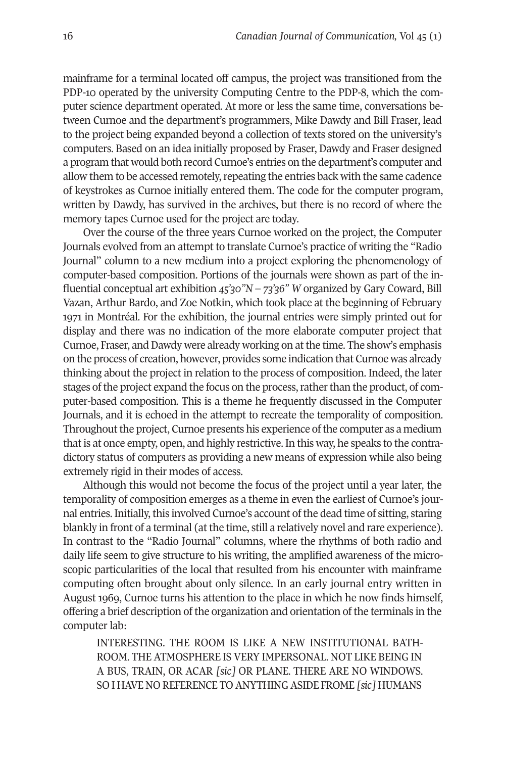mainframe for a terminal located off campus, the project was transitioned from the PDP-10 operated by the university Computing Centre to the PDP-8, which the computer science department operated. At more or less the same time, conversations between Curnoe and the department's programmers, Mike Dawdy and Bill Fraser, lead to the project being expanded beyond a collection of texts stored on the university's computers. Based on an idea initially proposed by Fraser, Dawdy and Fraser designed a program that would both record Curnoe's entries on the department's computer and allow them to be accessed remotely, repeating the entries back with the same cadence of keystrokes as Curnoe initially entered them. The code for the computer program, written by Dawdy, has survived in the archives, but there is no record of where the memory tapes Curnoe used for the project are today.

Over the course of the three years Curnoe worked on the project, the Computer Journals evolved from an attempt to translate Curnoe's practice of writing the "Radio Journal" column to a new medium into a project exploring the phenomenology of computer-based composition. Portions of the journals were shown as part of the influential conceptual art exhibition *45'30"N – 73'36" W* organized by Gary Coward, Bill Vazan, Arthur Bardo, and Zoe Notkin, which took place at the beginning of February 1971 in Montréal. For the exhibition, the journal entries were simply printed out for display and there was no indication of the more elaborate computer project that Curnoe, Fraser, and Dawdy were already working on at the time. The show's emphasis on the process of creation, however, provides some indication that Curnoe was already thinking about the project in relation to the process of composition. Indeed, the later stages ofthe project expand the focus on the process,ratherthan the product, of computer-based composition. This is a theme he frequently discussed in the Computer Journals, and it is echoed in the attempt to recreate the temporality of composition. Throughout the project, Curnoe presents his experience of the computer as a medium that is at once empty, open, and highly restrictive. In this way, he speaks to the contradictory status of computers as providing a new means of expression while also being extremely rigid in their modes of access.

Although this would not become the focus of the project until a year later, the temporality of composition emerges as a theme in even the earliest of Curnoe's journal entries. Initially, this involved Curnoe's account of the dead time of sitting, staring blankly in front of a terminal (at the time, still a relatively novel and rare experience). In contrast to the "Radio Journal" columns, where the rhythms of both radio and daily life seem to give structure to his writing, the amplified awareness of the microscopic particularities of the local that resulted from his encounter with mainframe computing often brought about only silence. In an early journal entry written in August 1969, Curnoe turns his attention to the place in which he now finds himself, offering a brief description of the organization and orientation of the terminals in the computer lab:

INTERESTING. THE ROOM IS LIKE A NEW INSTITUTIONAL BATH-ROOM. THE ATMOSPHERE IS VERY IMPERSONAL. NOT LIKE BEING IN A BUS, TRAIN, OR ACAR *[sic]* OR PLANE. THERE ARE NO WINDOWS. SO I HAVE NO REFERENCE TO ANYTHINGASIDE FROME *[sic]* HUMANS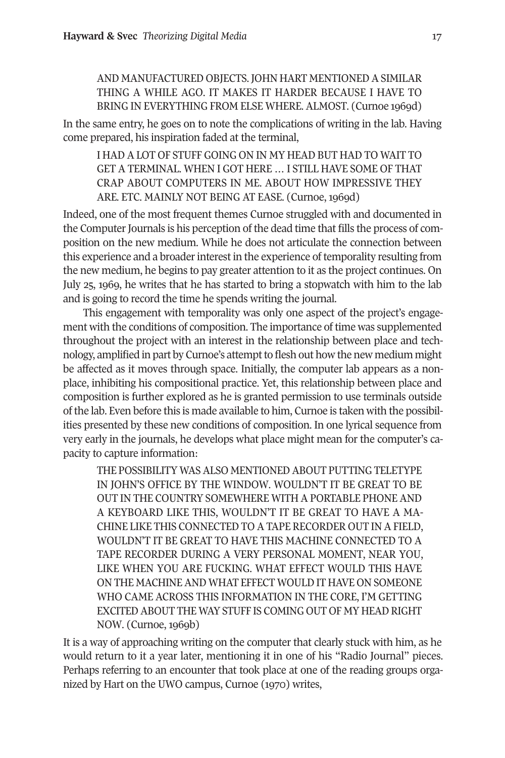# AND MANUFACTURED OBJECTS. JOHN HART MENTIONED A SIMILAR THING A WHILE AGO. IT MAKES IT HARDER BECAUSE I HAVE TO BRING IN EVERYTHING FROM ELSE WHERE. ALMOST. (Curnoe 1969d)

In the same entry, he goes on to note the complications of writing in the lab. Having come prepared, his inspiration faded at the terminal,

I HAD A LOT OF STUFF GOING ON IN MY HEAD BUT HAD TO WAIT TO GET A TERMINAL. WHEN I GOT HERE … I STILL HAVE SOME OF THAT CRAP ABOUT COMPUTERS IN ME. ABOUT HOW IMPRESSIVE THEY ARE. ETC. MAINLY NOT BEING AT EASE. (Curnoe, 1969d)

Indeed, one of the most frequent themes Curnoe struggled with and documented in the Computer Journals is his perception of the dead time that fills the process of composition on the new medium. While he does not articulate the connection between this experience and a broaderinterest in the experience of temporality resulting from the new medium, he begins to pay greater attention to it as the project continues. On July 25, 1969, he writes that he has started to bring a stopwatch with him to the lab and is going to record the time he spends writing the journal.

This engagement with temporality was only one aspect of the project's engagement with the conditions of composition. The importance of time was supplemented throughout the project with an interest in the relationship between place and technology, amplified in part by Curnoe's attemptto flesh out how the new medium might be affected as it moves through space. Initially, the computer lab appears as a nonplace, inhibiting his compositional practice. Yet, this relationship between place and composition is further explored as he is granted permission to use terminals outside of the lab. Even before this is made available to him, Curnoe is taken with the possibilities presented by these new conditions of composition. In one lyrical sequence from very early in the journals, he develops what place might mean for the computer's capacity to capture information:

THE POSSIBILITY WAS ALSO MENTIONED ABOUT PUTTING TELETYPE IN JOHN'S OFFICE BY THE WINDOW. WOULDN'T IT BE GREAT TO BE OUT IN THE COUNTRY SOMEWHERE WITH APORTABLE PHONEAND A KEYBOARD LIKE THIS, WOULDN'T IT BE GREAT TO HAVE A MA-CHINE LIKE THIS CONNECTED TO A TAPE RECORDER OUT IN A FIELD, WOULDN'T IT BE GREAT TO HAVE THIS MACHINE CONNECTED TO A TAPE RECORDER DURING A VERY PERSONAL MOMENT, NEAR YOU, LIKE WHEN YOU ARE FUCKING. WHAT EFFECT WOULD THIS HAVE ON THE MACHINE AND WHAT EFFECT WOULD IT HAVE ON SOMEONE WHO CAME ACROSS THIS INFORMATION IN THE CORE, I'M GETTING EXCITED ABOUT THE WAY STUFF IS COMING OUT OF MY HEAD RIGHT NOW. (Curnoe, 1969b)

It is a way of approaching writing on the computer that clearly stuck with him, as he would return to it a year later, mentioning it in one of his "Radio Journal" pieces. Perhaps referring to an encounter that took place at one of the reading groups organized by Hart on the UWO campus, Curnoe (1970) writes,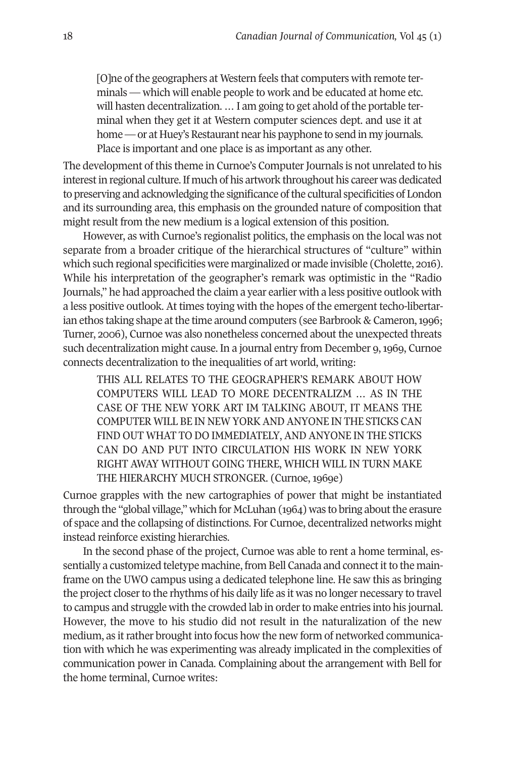[O]ne of the geographers at Western feels that computers with remote terminals — which will enable people to work and be educated at home etc. will hasten decentralization. ... I am going to get ahold of the portable terminal when they get it at Western computer sciences dept. and use it at home — or at Huey's Restaurant near his payphone to send in my journals. Place is important and one place is as important as any other.

The development of this theme in Curnoe's Computer Journals is not unrelated to his interestin regional culture.If much of his artwork throughout his career was dedicated to preserving and acknowledging the significance of the cultural specificities of London and its surrounding area, this emphasis on the grounded nature of composition that might result from the new medium is a logical extension of this position.

However, as with Curnoe's regionalist politics, the emphasis on the local was not separate from a broader critique of the hierarchical structures of "culture" within which such regional specificities were marginalized or made invisible (Cholette, 2016). While his interpretation of the geographer's remark was optimistic in the "Radio Journals," he had approached the claim a year earlier with a less positive outlook with a less positive outlook. At times toying with the hopes of the emergent techo-libertarian ethos taking shape at the time around computers (see Barbrook & Cameron, 1996; Turner, 2006), Curnoe was also nonetheless concerned about the unexpected threats such decentralization might cause. In a journal entry from December 9,1969, Curnoe connects decentralization to the inequalities of art world, writing:

THIS ALL RELATES TO THE GEOGRAPHER'S REMARK ABOUT HOW COMPUTERS WILL LEAD TO MORE DECENTRALIZM … AS IN THE CASE OF THE NEW YORK ART IM TALKING ABOUT, IT MEANS THE COMPUTER WILL BE IN NEW YORKANDANYONE IN THE STICKS CAN FIND OUT WHAT TO DO IMMEDIATELY, AND ANYONE IN THE STICKS CAN DO AND PUT INTO CIRCULATION HIS WORK IN NEW YORK RIGHT AWAY WITHOUT GOING THERE, WHICH WILL IN TURN MAKE THE HIERARCHY MUCH STRONGER. (Curnoe, 1969e)

Curnoe grapples with the new cartographies of power that might be instantiated through the "global village," which for McLuhan (1964) was to bring about the erasure of space and the collapsing of distinctions. For Curnoe, decentralized networks might instead reinforce existing hierarchies.

In the second phase of the project, Curnoe was able to rent a home terminal, essentially a customized teletype machine, from Bell Canada and connect it to the mainframe on the UWO campus using a dedicated telephone line. He saw this as bringing the project closer to the rhythms of his daily life as it was no longer necessary to travel to campus and struggle with the crowded lab in order to make entries into his journal. However, the move to his studio did not result in the naturalization of the new medium, as it rather brought into focus how the new form of networked communication with which he was experimenting was already implicated in the complexities of communication power in Canada. Complaining about the arrangement with Bell for the home terminal, Curnoe writes: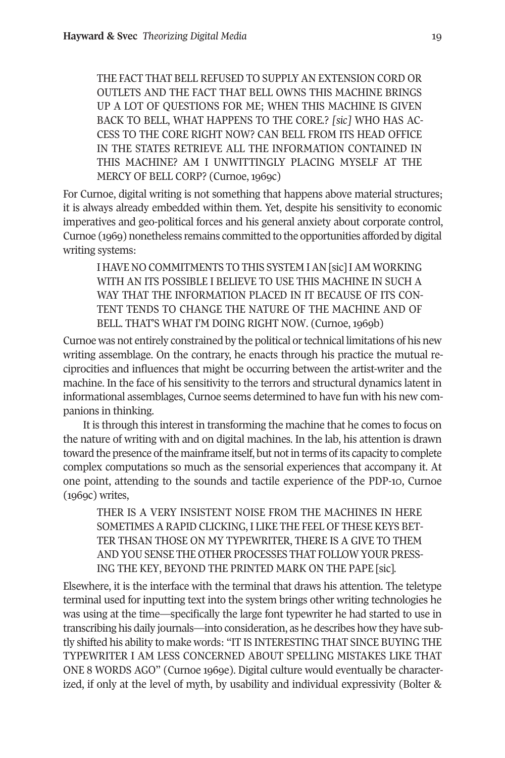THE FACT THAT BELL REFUSED TO SUPPLY AN EXTENSION CORD OR OUTLETS AND THE FACT THAT BELL OWNS THIS MACHINE BRINGS UP A LOT OF QUESTIONS FOR ME; WHEN THIS MACHINE IS GIVEN BACK TO BELL, WHAT HAPPENS TO THE CORE.? *[sic]* WHO HAS AC-CESS TO THE CORE RIGHT NOW? CAN BELL FROM ITS HEAD OFFICE IN THE STATES RETRIEVE ALL THE INFORMATION CONTAINED IN THIS MACHINE? AM I UNWITTINGLY PLACING MYSELF AT THE MERCY OF BELL CORP? (Curnoe, 1969c)

For Curnoe, digital writing is not something that happens above material structures; it is always already embedded within them. Yet, despite his sensitivity to economic imperatives and geo-political forces and his general anxiety about corporate control, Curnoe (1969) nonetheless remains committed to the opportunities afforded by digital writing systems:

I HAVE NO COMMITMENTS TO THIS SYSTEM IAN [sic]IAM WORKING WITH AN ITS POSSIBLE I BELIEVE TO USE THIS MACHINE IN SUCH A WAY THAT THE INFORMATION PLACED IN IT BECAUSE OF ITS CON-TENT TENDS TO CHANGE THE NATURE OF THE MACHINE AND OF BELL. THAT'S WHAT I'M DOING RIGHT NOW. (Curnoe, 1969b)

Curnoe was not entirely constrained by the political or technical limitations of his new writing assemblage. On the contrary, he enacts through his practice the mutual reciprocities and influences that might be occurring between the artist-writer and the machine. In the face of his sensitivity to the terrors and structural dynamics latent in informational assemblages, Curnoe seems determined to have fun with his new companions in thinking.

It is through this interest in transforming the machine that he comes to focus on the nature of writing with and on digital machines. In the lab, his attention is drawn toward the presence of the mainframe itself, but not in terms of its capacity to complete complex computations so much as the sensorial experiences that accompany it. At one point, attending to the sounds and tactile experience of the PDP-10, Curnoe (1969c) writes,

THER IS A VERY INSISTENT NOISE FROM THE MACHINES IN HERE SOMETIMES A RAPID CLICKING, I LIKE THE FEEL OF THESE KEYS BET-TER THSAN THOSE ON MY TYPEWRITER, THERE IS A GIVE TO THEM AND YOU SENSE THE OTHER PROCESSES THAT FOLLOW YOUR PRESS-ING THE KEY, BEYOND THE PRINTED MARK ON THE PAPE [sic].

Elsewhere, it is the interface with the terminal that draws his attention. The teletype terminal used for inputting text into the system brings other writing technologies he was using at the time—specifically the large font typewriter he had started to use in transcribing his daily journals—into consideration, as he describes how they have subtly shifted his ability to make words: "IT IS INTERESTING THAT SINCE BUYING THE TYPEWRITER I AM LESS CONCERNED ABOUT SPELLING MISTAKES LIKE THAT ONE 8 WORDS AGO" (Curnoe 1969e). Digital culture would eventually be characterized, if only at the level of myth, by usability and individual expressivity (Bolter &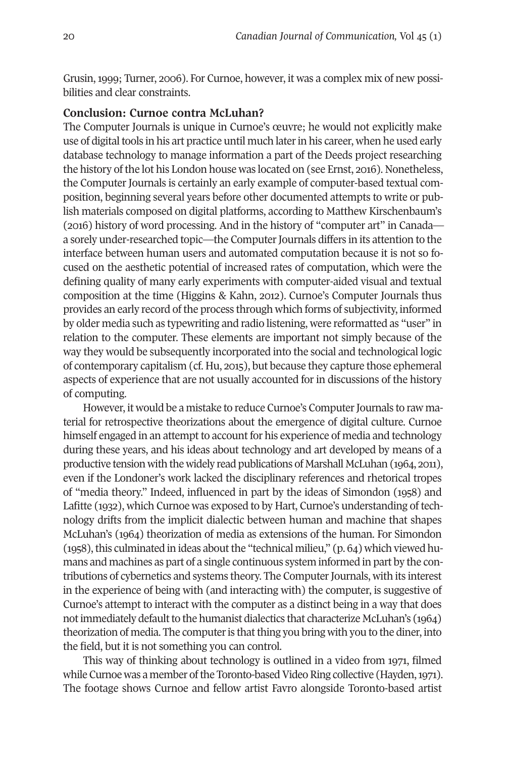Grusin, 1999; Turner, 2006). For Curnoe, however, it was a complex mix of new possibilities and clear constraints.

### **Conclusion: Curnoe contra McLuhan?**

The Computer Journals is unique in Curnoe's œuvre; he would not explicitly make use of digital tools in his art practice until much later in his career, when he used early database technology to manage information a part of the Deeds project researching the history of the lot his London house was located on (see Ernst, 2016). Nonetheless, the Computer Journals is certainly an early example of computer-based textual composition, beginning several years before other documented attempts to write or publish materials composed on digital platforms, according to Matthew Kirschenbaum's (2016) history of word processing. And in the history of "computer art" in Canada a sorely under-researched topic—the Computer Journals differs in its attention to the interface between human users and automated computation because it is not so focused on the aesthetic potential of increased rates of computation, which were the defining quality of many early experiments with computer-aided visual and textual composition at the time (Higgins & Kahn, 2012). Curnoe's Computer Journals thus provides an early record ofthe process through which forms of subjectivity, informed by older media such as typewriting and radio listening, were reformatted as "user" in relation to the computer. These elements are important not simply because of the way they would be subsequently incorporated into the social and technological logic of contemporary capitalism (cf. Hu, 2015), but because they capture those ephemeral aspects of experience that are not usually accounted for in discussions of the history of computing.

However, it would be a mistake to reduce Curnoe's Computer Journals to raw material for retrospective theorizations about the emergence of digital culture. Curnoe himself engaged in an attempt to account for his experience of media and technology during these years, and his ideas about technology and art developed by means of a productive tension with the widely read publications of Marshall McLuhan (1964, 2011), even if the Londoner's work lacked the disciplinary references and rhetorical tropes of "media theory." Indeed, influenced in part by the ideas of Simondon (1958) and Lafitte (1932), which Curnoe was exposed to by Hart, Curnoe's understanding of technology drifts from the implicit dialectic between human and machine that shapes McLuhan's (1964) theorization of media as extensions of the human. For Simondon  $(1958)$ , this culminated in ideas about the "technical milieu,"  $(p. 64)$  which viewed humans and machines as part of a single continuous system informed in part by the contributions of cybernetics and systems theory. The Computer Journals, with its interest in the experience of being with (and interacting with) the computer, is suggestive of Curnoe's attempt to interact with the computer as a distinct being in a way that does not immediately default to the humanist dialectics that characterize McLuhan's (1964) theorization of media. The computer is that thing you bring with you to the diner, into the field, but it is not something you can control.

This way of thinking about technology is outlined in a video from 1971, filmed while Curnoe was a member of the Toronto-based Video Ring collective (Hayden, 1971). The footage shows Curnoe and fellow artist Favro alongside Toronto-based artist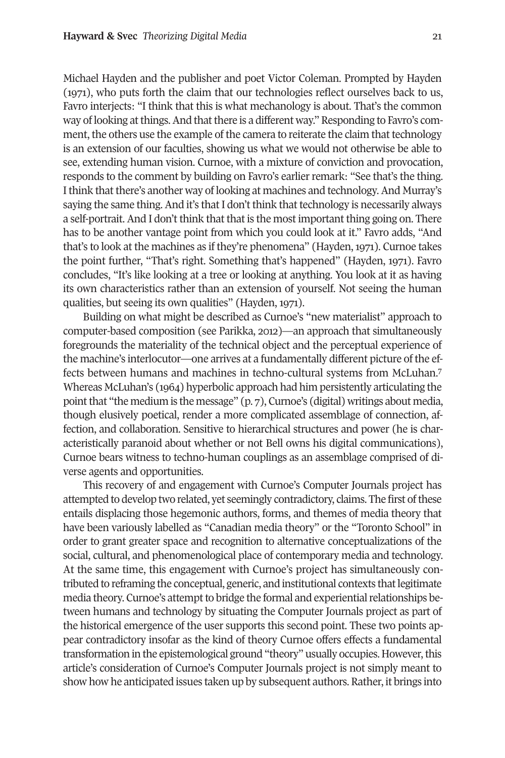Michael Hayden and the publisher and poet Victor Coleman. Prompted by Hayden (1971), who puts forth the claim that our technologies reflect ourselves back to us, Favro interjects: "I think that this is what mechanology is about. That's the common way of looking at things. And that there is a different way." Responding to Favro's comment, the others use the example of the camera to reiterate the claim that technology is an extension of our faculties, showing us what we would not otherwise be able to see, extending human vision. Curnoe, with a mixture of conviction and provocation, responds to the comment by building on Favro's earlier remark: "See that's the thing. I think that there's another way of looking at machines and technology. And Murray's saying the same thing. And it's that I don't think that technology is necessarily always a self-portrait. And I don't think that that is the most important thing going on. There has to be another vantage point from which you could look at it." Favro adds, "And that's to look at the machines as if they're phenomena" (Hayden, 1971). Curnoe takes the point further, "That's right. Something that's happened" (Hayden, 1971). Favro concludes, "It's like looking at a tree or looking at anything. You look at it as having its own characteristics rather than an extension of yourself. Not seeing the human qualities, but seeing its own qualities" (Hayden, 1971).

Building on what might be described as Curnoe's "new materialist" approach to computer-based composition (see Parikka, 2012)—an approach that simultaneously foregrounds the materiality of the technical object and the perceptual experience of the machine's interlocutor—one arrives at a fundamentally different picture of the ef-fects between humans and machines in techno-cultural systems from McLuhan.<sup>[7](#page-15-6)</sup> Whereas McLuhan's (1964) hyperbolic approach had him persistently articulating the point that "the medium is the message"  $(p, 7)$ , Curnoe's (digital) writings about media, though elusively poetical, render a more complicated assemblage of connection, affection, and collaboration. Sensitive to hierarchical structures and power (he is characteristically paranoid about whether or not Bell owns his digital communications), Curnoe bears witness to techno-human couplings as an assemblage comprised of diverse agents and opportunities.

This recovery of and engagement with Curnoe's Computer Journals project has attempted to develop two related, yet seemingly contradictory, claims. The first ofthese entails displacing those hegemonic authors, forms, and themes of media theory that have been variously labelled as "Canadian media theory" or the "Toronto School" in order to grant greater space and recognition to alternative conceptualizations of the social, cultural, and phenomenological place of contemporary media and technology. At the same time, this engagement with Curnoe's project has simultaneously contributed to reframing the conceptual, generic, and institutional contexts thatlegitimate media theory. Curnoe's attempt to bridge the formal and experiential relationships between humans and technology by situating the Computer Journals project as part of the historical emergence of the user supports this second point. These two points appear contradictory insofar as the kind of theory Curnoe offers effects a fundamental transformation in the epistemological ground "theory" usually occupies. However, this article's consideration of Curnoe's Computer Journals project is not simply meant to show how he anticipated issues taken up by subsequent authors. Rather, it brings into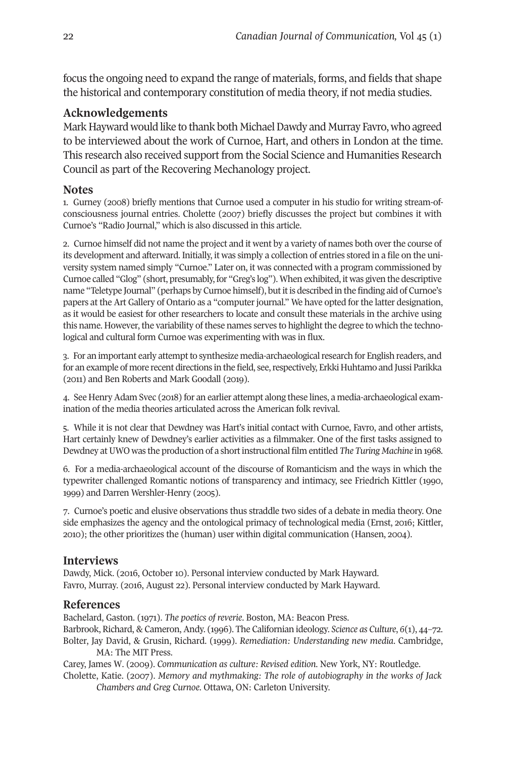focus the ongoing need to expand the range of materials, forms, and fields that shape the historical and contemporary constitution of media theory, if not media studies.

# **Acknowledgements**

Mark Hayward would like to thank both Michael Dawdy and Murray Favro, who agreed to be interviewed about the work of Curnoe, Hart, and others in London at the time. This research also received support from the Social Science and Humanities Research Council as part of the Recovering Mechanology project.

# <span id="page-15-0"></span>**Notes**

1. Gurney (2008) briefly mentions that Curnoe used a computer in his studio for writing stream-ofconsciousness journal entries. Cholette (2007) briefly discusses the project but combines it with Curnoe's "Radio Journal," which is also discussed in this article.

<span id="page-15-1"></span>2. Curnoe himself did not name the project and it went by a variety of names both overthe course of its development and afterward. Initially, it was simply a collection of entries stored in a file on the university system named simply "Curnoe." Later on, it was connected with a program commissioned by Curnoe called "Glog" (short, presumably, for "Greg's log"). When exhibited, it was given the descriptive name "Teletype Journal" (perhaps by Curnoe himself), butitis described in the finding aid of Curnoe's papers at the Art Gallery of Ontario as a "computer journal." We have opted for the latter designation, as it would be easiest for other researchers to locate and consult these materials in the archive using this name. However, the variability of these names serves to highlight the degree to which the technological and cultural form Curnoe was experimenting with was in flux.

<span id="page-15-2"></span>3. For an important early attempt to synthesize media-archaeological research for English readers, and for an example of more recent directions in the field, see, respectively, Erkki Huhtamo and Jussi Parikka (2011) and Ben Roberts and Mark Goodall (2019).

<span id="page-15-3"></span>4. See Henry Adam Svec (2018) for an earlier attempt along these lines, a media-archaeological examination of the media theories articulated across the American folk revival.

<span id="page-15-4"></span>5. While it is not clear that Dewdney was Hart's initial contact with Curnoe, Favro, and other artists, Hart certainly knew of Dewdney's earlier activities as a filmmaker. One of the first tasks assigned to Dewdney atUWO was the production of a shortinstructional film entitled *The Turing Machine* in 1968.

<span id="page-15-5"></span>6. For a media-archaeological account of the discourse of Romanticism and the ways in which the typewriter challenged Romantic notions of transparency and intimacy, see Friedrich Kittler (1990, 1999) and Darren Wershler-Henry (2005).

<span id="page-15-6"></span>7. Curnoe's poetic and elusive observations thus straddle two sides of a debate in media theory. One side emphasizes the agency and the ontological primacy of technological media (Ernst, 2016; Kittler, 2010); the other prioritizes the (human) user within digital communication (Hansen, 2004).

# **Interviews**

Dawdy, Mick. (2016, October 10). Personal interview conducted by Mark Hayward. Favro, Murray. (2016, August 22). Personal interview conducted by Mark Hayward.

# **References**

Bachelard, Gaston. (1971). *The poetics of reverie*. Boston, MA: Beacon Press. Barbrook, Richard, & Cameron, Andy. (1996). The Californian ideology. *Science as Culture*, *6*(1), 44–72. Bolter, Jay David, & Grusin, Richard. (1999). *Remediation: Understanding new media*. Cambridge, MA: The MIT Press.

Carey, James W. (2009). *Communication as culture: Revised edition*. New York, NY: Routledge. Cholette, Katie. (2007). *Memory and mythmaking: The role of autobiography in the works of Jack Chambers and Greg Curnoe*. Ottawa, ON: Carleton University.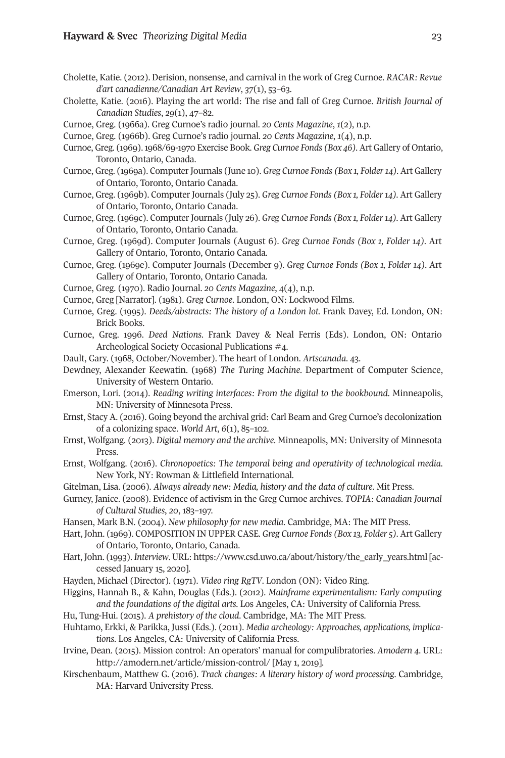- Cholette, Katie. (2012). Derision, nonsense, and carnival in the work of Greg Curnoe. *RACAR: Revue d'art canadienne/Canadian Art Review*, *37*(1), 53–63.
- Cholette, Katie. (2016). Playing the art world: The rise and fall of Greg Curnoe. *British Journal of Canadian Studies*, *29*(1), 47–82.
- Curnoe, Greg. (1966a). Greg Curnoe's radio journal. *20 Cents Magazine*, *1*(2), n.p.
- Curnoe, Greg. (1966b). Greg Curnoe's radio journal. *20 Cents Magazine*, *1*(4), n.p.
- Curnoe, Greg. (1969).1968/69-1970 Exercise Book. *Greg Curnoe Fonds (Box 46).* Art Gallery of Ontario, Toronto, Ontario, Canada.
- Curnoe, Greg. (1969a). ComputerJournals (June 10). *Greg Curnoe Fonds (Box 1, Folder14).* Art Gallery of Ontario, Toronto, Ontario Canada.
- Curnoe, Greg. (1969b). ComputerJournals (July 25). *Greg Curnoe Fonds (Box 1, Folder14).* Art Gallery of Ontario, Toronto, Ontario Canada.
- Curnoe, Greg. (1969c). ComputerJournals (July 26). *Greg Curnoe Fonds (Box 1, Folder14).* Art Gallery of Ontario, Toronto, Ontario Canada.
- Curnoe, Greg. (1969d). Computer Journals (August 6). *Greg Curnoe Fonds (Box 1, Folder 14).* Art Gallery of Ontario, Toronto, Ontario Canada.
- Curnoe, Greg. (1969e). Computer Journals (December 9). *Greg Curnoe Fonds (Box 1, Folder 14).* Art Gallery of Ontario, Toronto, Ontario Canada.
- Curnoe, Greg. (1970). Radio Journal. *20 Cents Magazine*, 4(4), n.p.
- Curnoe, Greg [Narrator]. (1981). *Greg Curnoe*. London, ON: Lockwood Films.
- Curnoe, Greg. (1995). *Deeds/abstracts: The history of a London lot.* Frank Davey, Ed. London, ON: Brick Books.
- Curnoe, Greg. 1996. *Deed Nations*. Frank Davey & Neal Ferris (Eds). London, ON: Ontario Archeological Society Occasional Publications #4.
- Dault, Gary. (1968, October/November). The heart of London. *Artscanada*. 43.
- Dewdney, Alexander Keewatin. (1968) *The Turing Machine*. Department of Computer Science, University of Western Ontario.
- Emerson, Lori. (2014). *Reading writing interfaces: From the digital to the bookbound*. Minneapolis, MN: University of Minnesota Press.
- Ernst, Stacy A. (2016). Going beyond the archival grid: Carl Beam and Greg Curnoe's decolonization of a colonizing space. *World Art*, *6*(1), 85–102.
- Ernst, Wolfgang. (2013). *Digital memory and the archive*. Minneapolis, MN: University of Minnesota Press.
- Ernst, Wolfgang. (2016). *Chronopoetics: The temporal being and operativity of technological media*. New York, NY: Rowman & Littlefield International.
- Gitelman, Lisa. (2006). *Always already new: Media, history and the data of culture*. Mit Press.
- Gurney, Janice. (2008). Evidence of activism in the Greg Curnoe archives. *TOPIA: Canadian Journal of Cultural Studies*, *20*, 183–197.
- Hansen, Mark B.N. (2004). *New philosophy for new media*. Cambridge, MA: The MIT Press.
- Hart, John. (1969). COMPOSITION IN UPPER CASE. *Greg Curnoe Fonds (Box 13, Folder 5).* Art Gallery of Ontario, Toronto, Ontario, Canada.
- Hart, John. (1993). *Interview*. URL: [https://www.csd.uwo.ca/about/history/the\\_early\\_years.html](https://www.csd.uwo.ca/about/history/the_early_years.html) [accessed January 15, 2020].
- Hayden, Michael (Director). (1971). *Video ring RgTV*. London (ON): Video Ring.
- Higgins, Hannah B., & Kahn, Douglas (Eds.). (2012). *Mainframe experimentalism: Early computing and the foundations of the digital arts*. Los Angeles, CA: University of California Press.
- Hu, Tung-Hui. (2015). *A prehistory of the cloud*. Cambridge, MA: The MIT Press.
- Huhtamo, Erkki, & Parikka, Jussi (Eds.). (2011). *Media archeology: Approaches, applications, implications*. Los Angeles, CA: University of California Press.
- Irvine, Dean. (2015). Mission control: An operators' manual for compulibratories. *Amodern 4*. URL: <http://amodern.net/article/mission-control/> [May 1, 2019].
- Kirschenbaum, Matthew G. (2016). *Track changes: A literary history of word processing*. Cambridge, MA: Harvard University Press.